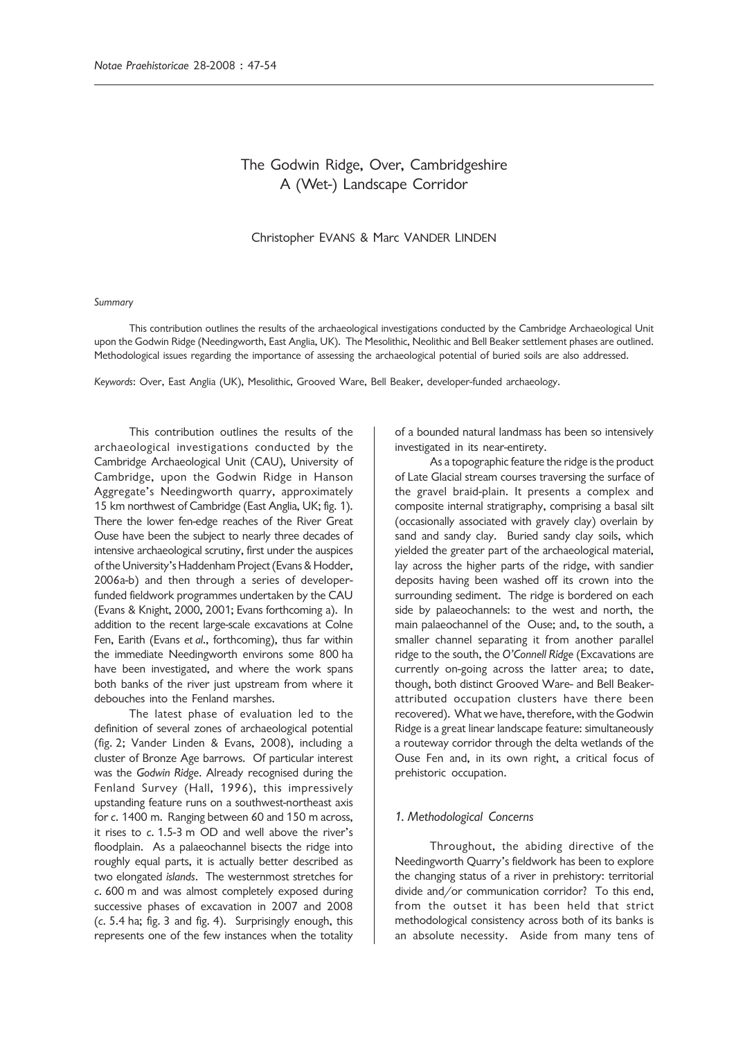# The Godwin Ridge, Over, Cambridgeshire A (Wet-) Landscape Corridor

### Christopher EVANS & Marc VANDER LINDEN

### *Summary*

This contribution outlines the results of the archaeological investigations conducted by the Cambridge Archaeological Unit upon the Godwin Ridge (Needingworth, East Anglia, UK). The Mesolithic, Neolithic and Bell Beaker settlement phases are outlined. Methodological issues regarding the importance of assessing the archaeological potential of buried soils are also addressed.

*Keywords*: Over, East Anglia (UK), Mesolithic, Grooved Ware, Bell Beaker, developer-funded archaeology.

This contribution outlines the results of the archaeological investigations conducted by the Cambridge Archaeological Unit (CAU), University of Cambridge, upon the Godwin Ridge in Hanson Aggregate's Needingworth quarry, approximately 15 km northwest of Cambridge (East Anglia, UK; fig. 1). There the lower fen-edge reaches of the River Great Ouse have been the subject to nearly three decades of intensive archaeological scrutiny, first under the auspices of the University's Haddenham Project (Evans & Hodder, 2006a-b) and then through a series of developerfunded fieldwork programmes undertaken by the CAU (Evans & Knight, 2000, 2001; Evans forthcoming a). In addition to the recent large-scale excavations at Colne Fen, Earith (Evans *et al*., forthcoming), thus far within the immediate Needingworth environs some 800 ha have been investigated, and where the work spans both banks of the river just upstream from where it debouches into the Fenland marshes.

The latest phase of evaluation led to the definition of several zones of archaeological potential (fig. 2; Vander Linden & Evans, 2008), including a cluster of Bronze Age barrows. Of particular interest was the *Godwin Ridge*. Already recognised during the Fenland Survey (Hall, 1996), this impressively upstanding feature runs on a southwest-northeast axis for *c*. 1400 m. Ranging between 60 and 150 m across, it rises to *c*. 1.5-3 m OD and well above the river's floodplain. As a palaeochannel bisects the ridge into roughly equal parts, it is actually better described as two elongated *islands*. The westernmost stretches for *c*. 600 m and was almost completely exposed during successive phases of excavation in 2007 and 2008 (*c*. 5.4 ha; fig. 3 and fig. 4). Surprisingly enough, this represents one of the few instances when the totality

of a bounded natural landmass has been so intensively investigated in its near-entirety.

As a topographic feature the ridge is the product of Late Glacial stream courses traversing the surface of the gravel braid-plain. It presents a complex and composite internal stratigraphy, comprising a basal silt (occasionally associated with gravely clay) overlain by sand and sandy clay. Buried sandy clay soils, which yielded the greater part of the archaeological material, lay across the higher parts of the ridge, with sandier deposits having been washed off its crown into the surrounding sediment. The ridge is bordered on each side by palaeochannels: to the west and north, the main palaeochannel of the Ouse; and, to the south, a smaller channel separating it from another parallel ridge to the south, the *O'Connell Ridge* (Excavations are currently on-going across the latter area; to date, though, both distinct Grooved Ware- and Bell Beakerattributed occupation clusters have there been recovered). What we have, therefore, with the Godwin Ridge is a great linear landscape feature: simultaneously a routeway corridor through the delta wetlands of the Ouse Fen and, in its own right, a critical focus of prehistoric occupation.

### *1. Methodological Concerns*

Throughout, the abiding directive of the Needingworth Quarry's fieldwork has been to explore the changing status of a river in prehistory: territorial divide and/or communication corridor? To this end, from the outset it has been held that strict methodological consistency across both of its banks is an absolute necessity. Aside from many tens of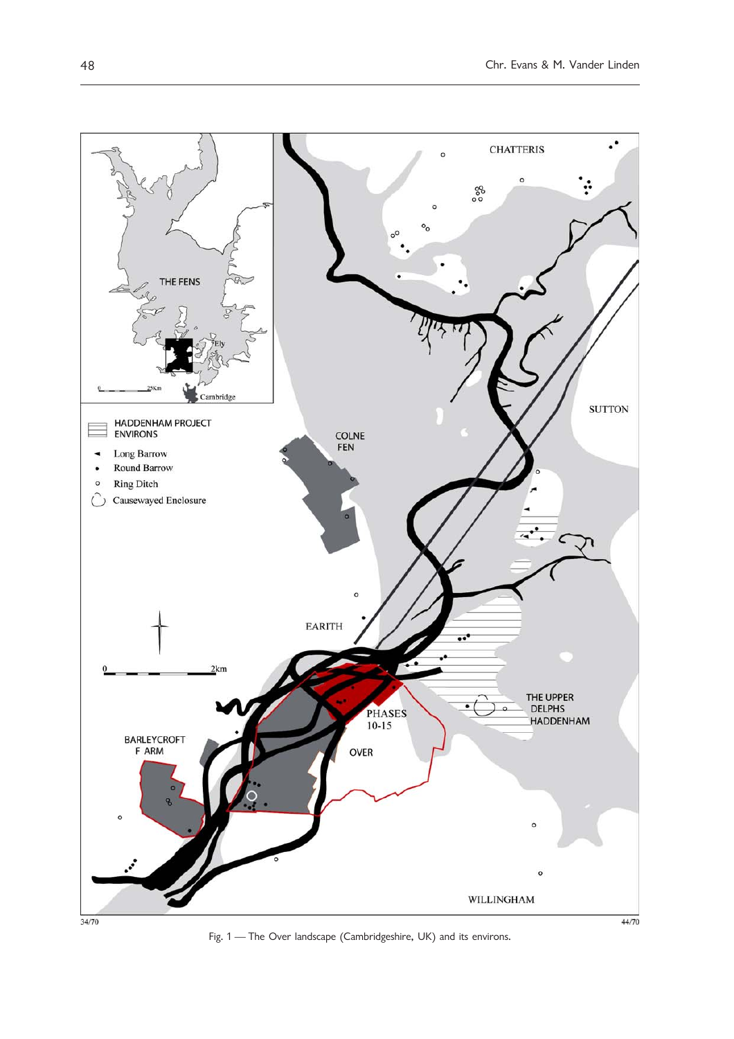

Fig. 1 — The Over landscape (Cambridgeshire, UK) and its environs.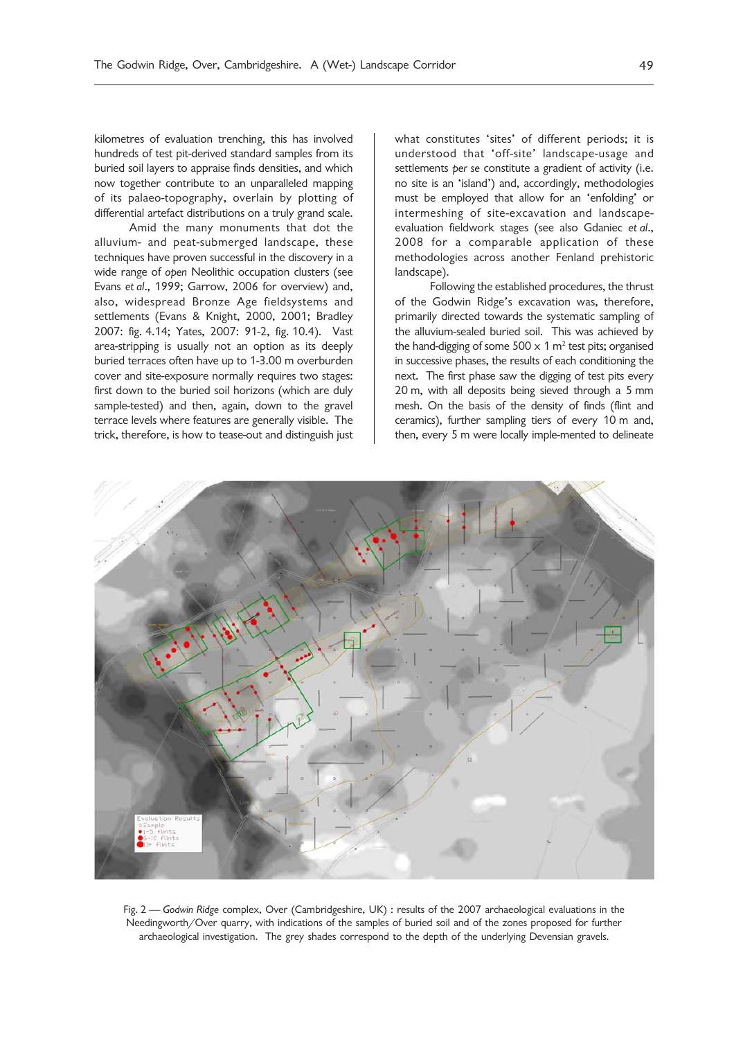kilometres of evaluation trenching, this has involved hundreds of test pit-derived standard samples from its buried soil layers to appraise finds densities, and which now together contribute to an unparalleled mapping of its palaeo-topography, overlain by plotting of differential artefact distributions on a truly grand scale.

Amid the many monuments that dot the alluvium- and peat-submerged landscape, these techniques have proven successful in the discovery in a wide range of *open* Neolithic occupation clusters (see Evans *et al*., 1999; Garrow, 2006 for overview) and, also, widespread Bronze Age fieldsystems and settlements (Evans & Knight, 2000, 2001; Bradley 2007: fig. 4.14; Yates, 2007: 91-2, fig. 10.4). Vast area-stripping is usually not an option as its deeply buried terraces often have up to 1-3.00 m overburden cover and site-exposure normally requires two stages: first down to the buried soil horizons (which are duly sample-tested) and then, again, down to the gravel terrace levels where features are generally visible. The trick, therefore, is how to tease-out and distinguish just what constitutes 'sites' of different periods; it is understood that 'off-site' landscape-usage and settlements *per se* constitute a gradient of activity (i.e. no site is an 'island') and, accordingly, methodologies must be employed that allow for an 'enfolding' or intermeshing of site-excavation and landscapeevaluation fieldwork stages (see also Gdaniec *et al*., 2008 for a comparable application of these methodologies across another Fenland prehistoric landscape).

Following the established procedures, the thrust of the Godwin Ridge's excavation was, therefore, primarily directed towards the systematic sampling of the alluvium-sealed buried soil. This was achieved by the hand-digging of some 500  $\times$  1 m<sup>2</sup> test pits; organised in successive phases, the results of each conditioning the next. The first phase saw the digging of test pits every 20 m, with all deposits being sieved through a 5 mm mesh. On the basis of the density of finds (flint and ceramics), further sampling tiers of every 10 m and, then, every 5 m were locally imple-mented to delineate



Fig. 2 — *Godwin Ridge* complex, Over (Cambridgeshire, UK) : results of the 2007 archaeological evaluations in the Needingworth/Over quarry, with indications of the samples of buried soil and of the zones proposed for further archaeological investigation. The grey shades correspond to the depth of the underlying Devensian gravels.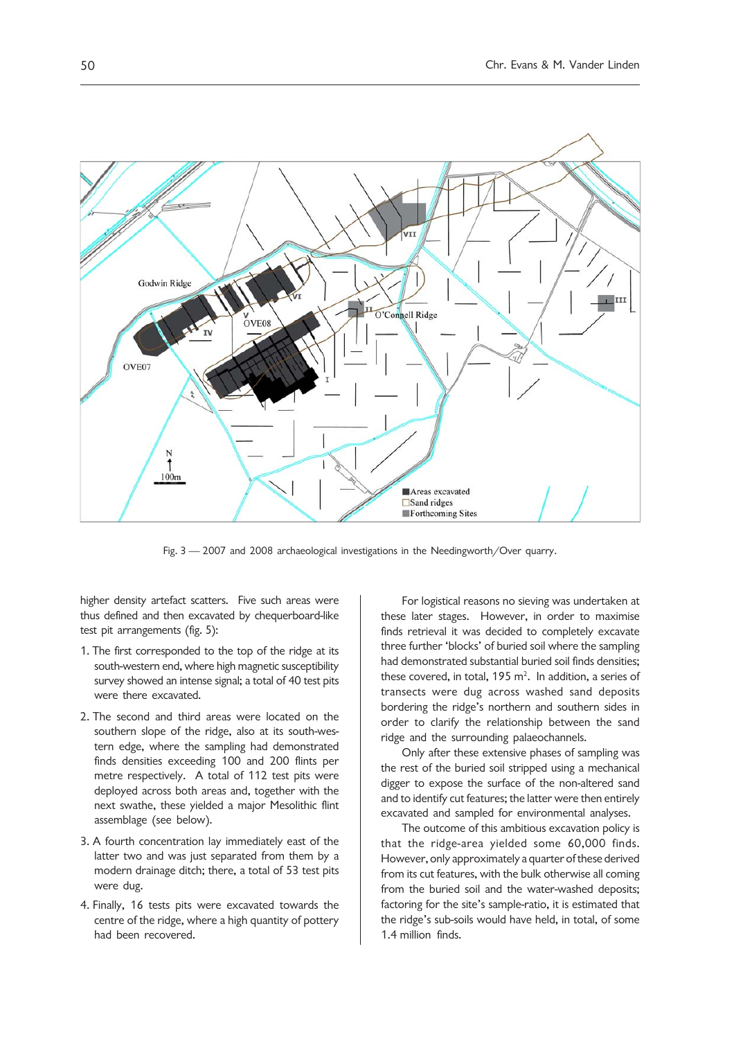

Fig. 3 — 2007 and 2008 archaeological investigations in the Needingworth/Over quarry.

higher density artefact scatters. Five such areas were thus defined and then excavated by chequerboard-like test pit arrangements (fig. 5):

- 1. The first corresponded to the top of the ridge at its south-western end, where high magnetic susceptibility survey showed an intense signal; a total of 40 test pits were there excavated.
- 2. The second and third areas were located on the southern slope of the ridge, also at its south-western edge, where the sampling had demonstrated finds densities exceeding 100 and 200 flints per metre respectively. A total of 112 test pits were deployed across both areas and, together with the next swathe, these yielded a major Mesolithic flint assemblage (see below).
- 3. A fourth concentration lay immediately east of the latter two and was just separated from them by a modern drainage ditch; there, a total of 53 test pits were dug.
- 4. Finally, 16 tests pits were excavated towards the centre of the ridge, where a high quantity of pottery had been recovered.

For logistical reasons no sieving was undertaken at these later stages. However, in order to maximise finds retrieval it was decided to completely excavate three further 'blocks' of buried soil where the sampling had demonstrated substantial buried soil finds densities; these covered, in total, 195  $m^2$ . In addition, a series of transects were dug across washed sand deposits bordering the ridge's northern and southern sides in order to clarify the relationship between the sand ridge and the surrounding palaeochannels.

Only after these extensive phases of sampling was the rest of the buried soil stripped using a mechanical digger to expose the surface of the non-altered sand and to identify cut features; the latter were then entirely excavated and sampled for environmental analyses.

The outcome of this ambitious excavation policy is that the ridge-area yielded some 60,000 finds. However, only approximately a quarter of these derived from its cut features, with the bulk otherwise all coming from the buried soil and the water-washed deposits; factoring for the site's sample-ratio, it is estimated that the ridge's sub-soils would have held, in total, of some 1.4 million finds.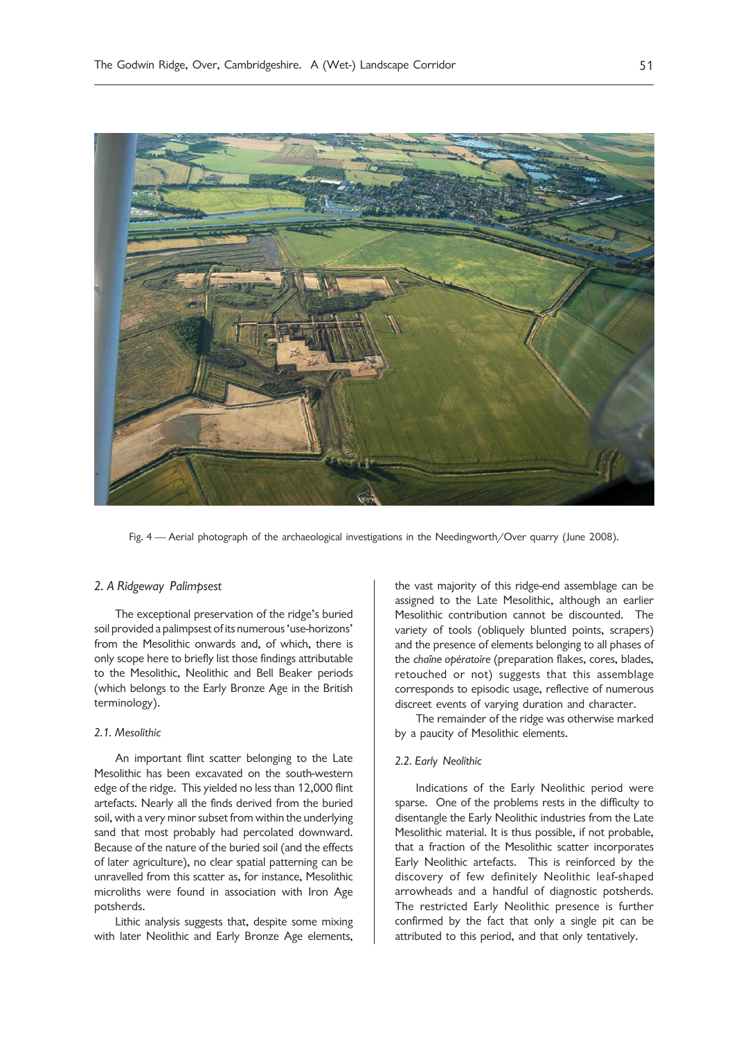

Fig. 4 — Aerial photograph of the archaeological investigations in the Needingworth/Over quarry (June 2008).

## *2. A Ridgeway Palimpsest*

The exceptional preservation of the ridge's buried soil provided a palimpsest of its numerous 'use-horizons' from the Mesolithic onwards and, of which, there is only scope here to briefly list those findings attributable to the Mesolithic, Neolithic and Bell Beaker periods (which belongs to the Early Bronze Age in the British terminology).

### *2.1. Mesolithic*

An important flint scatter belonging to the Late Mesolithic has been excavated on the south-western edge of the ridge. This yielded no less than 12,000 flint artefacts. Nearly all the finds derived from the buried soil, with a very minor subset from within the underlying sand that most probably had percolated downward. Because of the nature of the buried soil (and the effects of later agriculture), no clear spatial patterning can be unravelled from this scatter as, for instance, Mesolithic microliths were found in association with Iron Age potsherds.

Lithic analysis suggests that, despite some mixing with later Neolithic and Early Bronze Age elements, the vast majority of this ridge-end assemblage can be assigned to the Late Mesolithic, although an earlier Mesolithic contribution cannot be discounted. The variety of tools (obliquely blunted points, scrapers) and the presence of elements belonging to all phases of the *chaîne opératoire* (preparation flakes, cores, blades, retouched or not) suggests that this assemblage corresponds to episodic usage, reflective of numerous discreet events of varying duration and character.

The remainder of the ridge was otherwise marked by a paucity of Mesolithic elements.

### *2.2. Early Neolithic*

Indications of the Early Neolithic period were sparse. One of the problems rests in the difficulty to disentangle the Early Neolithic industries from the Late Mesolithic material. It is thus possible, if not probable, that a fraction of the Mesolithic scatter incorporates Early Neolithic artefacts. This is reinforced by the discovery of few definitely Neolithic leaf-shaped arrowheads and a handful of diagnostic potsherds. The restricted Early Neolithic presence is further confirmed by the fact that only a single pit can be attributed to this period, and that only tentatively.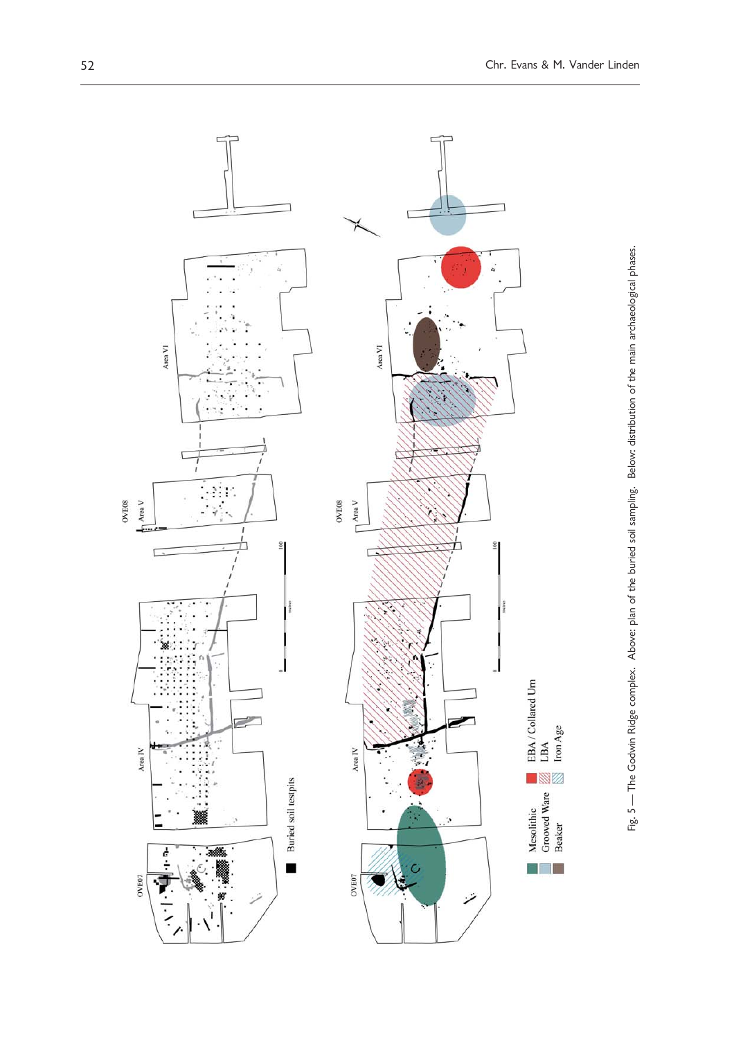

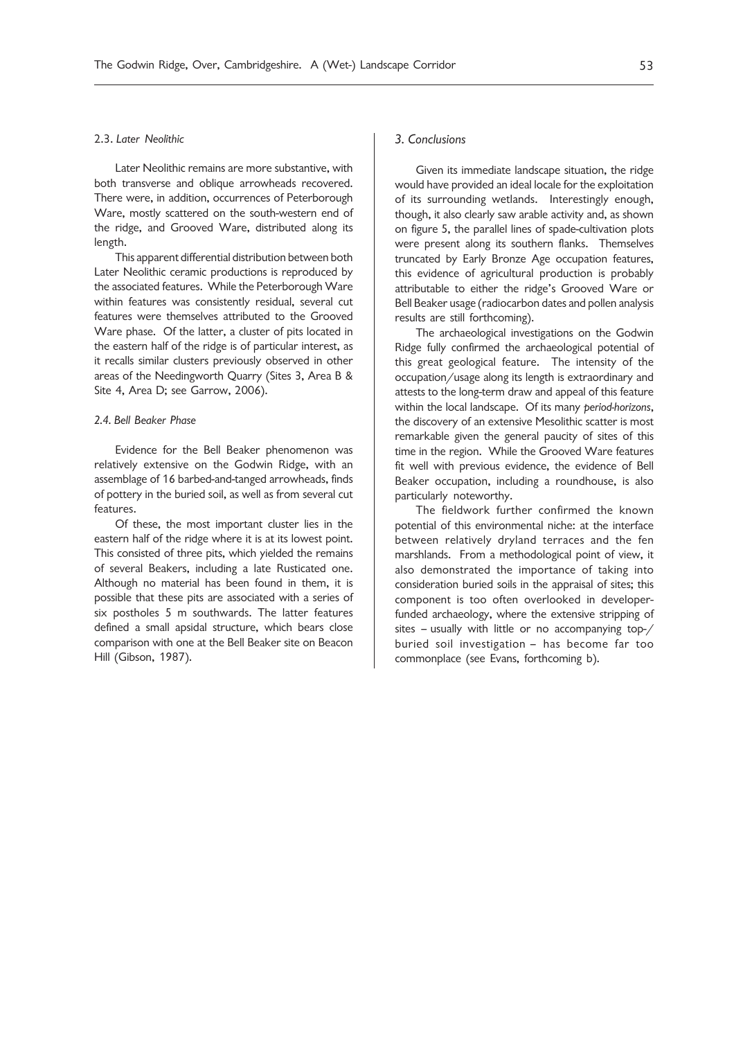### 2.3. *Later Neolithic*

Later Neolithic remains are more substantive, with both transverse and oblique arrowheads recovered. There were, in addition, occurrences of Peterborough Ware, mostly scattered on the south-western end of the ridge, and Grooved Ware, distributed along its length.

This apparent differential distribution between both Later Neolithic ceramic productions is reproduced by the associated features. While the Peterborough Ware within features was consistently residual, several cut features were themselves attributed to the Grooved Ware phase. Of the latter, a cluster of pits located in the eastern half of the ridge is of particular interest, as it recalls similar clusters previously observed in other areas of the Needingworth Quarry (Sites 3, Area B & Site 4, Area D; see Garrow, 2006).

### *2.4. Bell Beaker Phase*

Evidence for the Bell Beaker phenomenon was relatively extensive on the Godwin Ridge, with an assemblage of 16 barbed-and-tanged arrowheads, finds of pottery in the buried soil, as well as from several cut features.

Of these, the most important cluster lies in the eastern half of the ridge where it is at its lowest point. This consisted of three pits, which yielded the remains of several Beakers, including a late Rusticated one. Although no material has been found in them, it is possible that these pits are associated with a series of six postholes 5 m southwards. The latter features defined a small apsidal structure, which bears close comparison with one at the Bell Beaker site on Beacon Hill (Gibson, 1987).

### *3. Conclusions*

Given its immediate landscape situation, the ridge would have provided an ideal locale for the exploitation of its surrounding wetlands. Interestingly enough, though, it also clearly saw arable activity and, as shown on figure 5, the parallel lines of spade-cultivation plots were present along its southern flanks. Themselves truncated by Early Bronze Age occupation features, this evidence of agricultural production is probably attributable to either the ridge's Grooved Ware or Bell Beaker usage (radiocarbon dates and pollen analysis results are still forthcoming).

The archaeological investigations on the Godwin Ridge fully confirmed the archaeological potential of this great geological feature. The intensity of the occupation/usage along its length is extraordinary and attests to the long-term draw and appeal of this feature within the local landscape. Of its many *period-horizons*, the discovery of an extensive Mesolithic scatter is most remarkable given the general paucity of sites of this time in the region. While the Grooved Ware features fit well with previous evidence, the evidence of Bell Beaker occupation, including a roundhouse, is also particularly noteworthy.

The fieldwork further confirmed the known potential of this environmental niche: at the interface between relatively dryland terraces and the fen marshlands. From a methodological point of view, it also demonstrated the importance of taking into consideration buried soils in the appraisal of sites; this component is too often overlooked in developerfunded archaeology, where the extensive stripping of sites – usually with little or no accompanying top-/ buried soil investigation – has become far too commonplace (see Evans, forthcoming b).